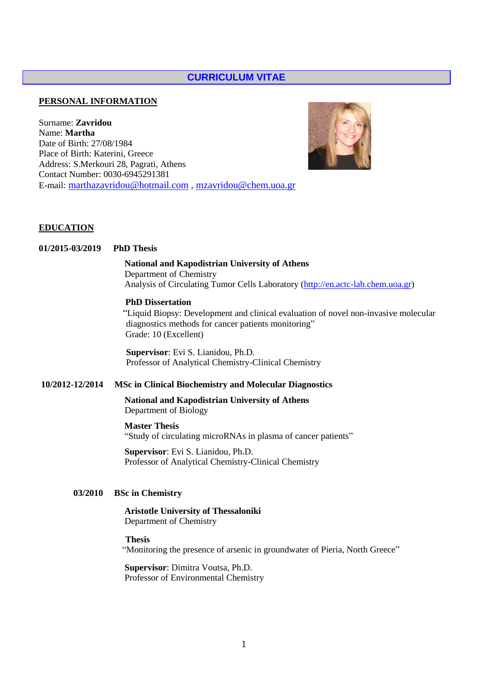# **CURRICULUM VITAE**

#### **PERSONAL INFORMATION**

Surname: **Zavridou** Name: **Martha** Date of Birth: 27/08/1984 Place of Birth: Katerini, Greece Address: S.Merkouri 28, Pagrati, Athens Contact Number: 0030-6945291381 E-mail: [marthazavridou@hotmail.com](mailto:marthazavridou@hotmail.com) , [mzavridou@chem.uoa.gr](mailto:mzavridou@chem.uoa.gr)



#### **EDUCATION**

#### **01/2015-03/2019 PhD Thesis**

### **National and Kapodistrian University of Athens**

 Department of Chemistry Analysis of Circulating Tumor Cells Laboratory [\(http://en.actc-lab.chem.uoa.gr\)](http://en.actc-lab.chem.uoa.gr/)

## **PhD Dissertation**

 "Liquid Biopsy: Development and clinical evaluation of novel non-invasive molecular diagnostics methods for cancer patients monitoring" Grade: 10 (Excellent)

**Supervisor**: Evi S. Lianidou, Ph.D. Professor of Analytical Chemistry-Clinical Chemistry

## **10/2012-12/2014 MSc in Clinical Biochemistry and Molecular Diagnostics**

 **National and Kapodistrian University of Athens** Department of Biology

#### **Master Thesis**

"Study of circulating microRNAs in plasma of cancer patients"

 **Supervisor**: Evi S. Lianidou, Ph.D. Professor of Analytical Chemistry-Clinical Chemistry

## **03/2010 BSc in Chemistry**

 **Aristotle University of Thessaloniki**  Department of Chemistry

#### **Thesis**

"Monitoring the presence of arsenic in groundwater of Pieria, North Greece"

**Supervisor**: Dimitra Voutsa, Ph.D. Professor of Environmental Chemistry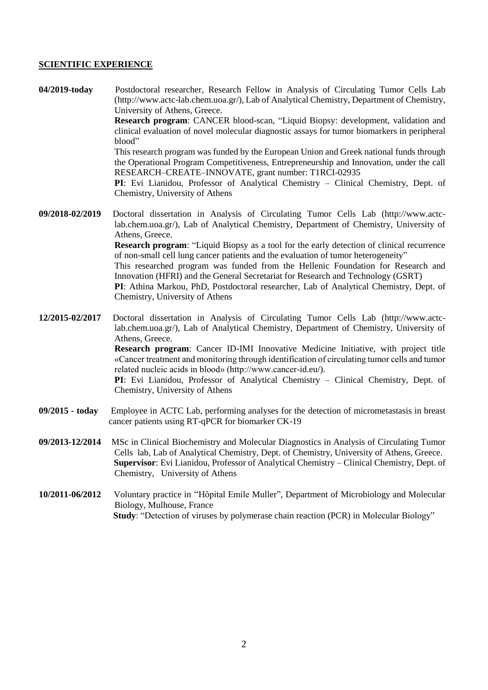### **SCIENTIFIC EXPERIENCE**

**04/2019-today** Postdoctoral researcher, Research Fellow in Analysis of Circulating Tumor Cells Lab (http://www.actc-lab.chem.uoa.gr/), Lab of Analytical Chemistry, Department of Chemistry, University of Athens, Greece. **Research program**: CANCER blood-scan, "Liquid Biopsy: development, validation and clinical evaluation of novel molecular diagnostic assays for tumor biomarkers in peripheral blood" This research program was funded by the European Union and Greek national funds through the Operational Program Competitiveness, Entrepreneurship and Innovation, under the call RESEARCH–CREATE–INNOVATE, grant number: T1RCI-02935 **PI**: Evi Lianidou, Professor of Analytical Chemistry – Clinical Chemistry, Dept. of Chemistry, University of Athens

**09/2018-02/2019** Doctoral dissertation in Analysis of Circulating Tumor Cells Lab (http://www.actclab.chem.uoa.gr/), Lab of Analytical Chemistry, Department of Chemistry, University of Athens, Greece. **Research program**: "Liquid Biopsy as a tool for the early detection of clinical recurrence of non-small cell lung cancer patients and the evaluation of tumor heterogeneity" This researched program was funded from the Hellenic Foundation for Research and Innovation (HFRI) and the General Secretariat for Research and Technology (GSRT) **PI**: Athina Markou, PhD, Postdoctoral researcher, Lab of Analytical Chemistry, Dept. of Chemistry, University of Athens

**12/2015-02/2017** Doctoral dissertation in Analysis of Circulating Tumor Cells Lab (http://www.actclab.chem.uoa.gr/), Lab of Analytical Chemistry, Department of Chemistry, University of Athens, Greece. **Research program**: Cancer ID-IMI Innovative Medicine Initiative, with project title «Cancer treatment and monitoring through identification of circulating tumor cells and tumor related nucleic acids in blood» (http://www.cancer-id.eu/). **PI**: Evi Lianidou, Professor of Analytical Chemistry – Clinical Chemistry, Dept. of Chemistry, University of Athens

- **09/2015 - today** Employee in ACTC Lab, performing analyses for the detection of micrometastasis in breast cancer patients using RT-qPCR for biomarker CK-19
- **09/2013-12/2014** MSc in Clinical Biochemistry and Molecular Diagnostics in Analysis of Circulating Tumor Cells lab, Lab of Analytical Chemistry, Dept. of Chemistry, University of Athens, Greece.  **Supervisor**: Evi Lianidou, Professor of Analytical Chemistry – Clinical Chemistry, Dept. of Chemistry, University of Athens
- **10/2011-06/2012** Voluntary practice in "Ηôpital Emile Muller", Department of Microbiology and Molecular Biology, Mulhouse, France  **Study**: "Detection of viruses by polymerase chain reaction (PCR) in Molecular Biology"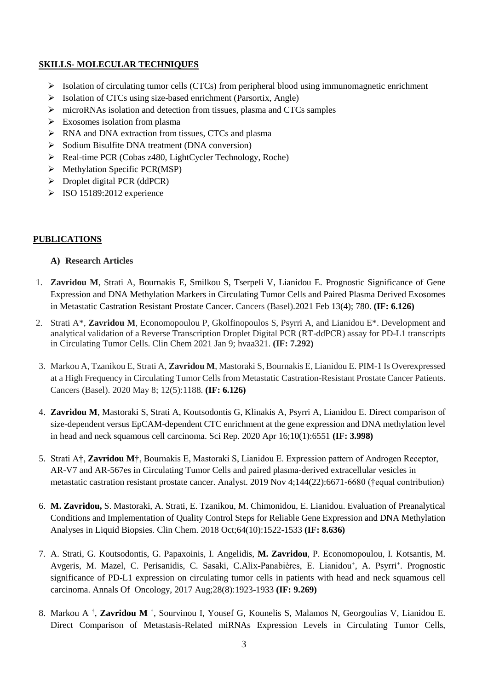# **SKILLS- MOLECULAR TECHNIQUES**

- $\triangleright$  Isolation of circulating tumor cells (CTCs) from peripheral blood using immunomagnetic enrichment
- $\triangleright$  Isolation of CTCs using size-based enrichment (Parsortix, Angle)
- microRNAs isolation and detection from tissues, plasma and CTCs samples
- $\triangleright$  Exosomes isolation from plasma
- RNA and DNA extraction from tissues, CTCs and plasma
- $\triangleright$  Sodium Bisulfite DNA treatment (DNA conversion)
- $\triangleright$  Real-time PCR (Cobas z480, LightCycler Technology, Roche)
- $\triangleright$  Methylation Specific PCR(MSP)
- $\triangleright$  Droplet digital PCR (ddPCR)
- $\triangleright$  ISO 15189:2012 experience

## **PUBLICATIONS**

## **A) Research Articles**

- 1. **Zavridou M**, Strati A, Bournakis E, Smilkou S, Tserpeli V, Lianidou E. Prognostic Significance of Gene Expression and DNA Methylation Markers in Circulating Tumor Cells and Paired Plasma Derived Exosomes in Metastatic Castration Resistant Prostate Cancer. Cancers (Basel).2021 Feb 13(4); 780. **(IF: 6.126)**
- 2. Strati A\*, **Zavridou M**, Economopoulou P, Gkolfinopoulos S, Psyrri A, and Lianidou E\*. Development and analytical validation of a Reverse Transcription Droplet Digital PCR (RT-ddPCR) assay for PD-L1 transcripts in Circulating Tumor Cells. Clin Chem 2021 Jan 9; hvaa321. **(IF: 7.292)**
- 3. Markou A, Tzanikou E, Strati A, **Zavridou M**, Mastoraki S, Bournakis E, Lianidou E. PIM-1 Is Overexpressed at a High Frequency in Circulating Tumor Cells from Metastatic Castration-Resistant Prostate Cancer Patients. Cancers (Basel). 2020 May 8; 12(5):1188. **(IF: 6.126)**
- 4. **Zavridou M**, Mastoraki S, Strati A, Koutsodontis G, Klinakis A, Psyrri A, Lianidou E. Direct comparison of size-dependent versus EpCAM-dependent CTC enrichment at the gene expression and DNA methylation level in head and neck squamous cell carcinoma. Sci Rep. 2020 Apr 16;10(1):6551 **(IF: 3.998)**
- 5. Strati A†, **Zavridou M**†, Bournakis E, Mastoraki S, Lianidou E. Expression pattern of Androgen Receptor, AR-V7 and AR-567es in Circulating Tumor Cells and paired plasma-derived extracellular vesicles in metastatic castration resistant prostate cancer. Analyst. 2019 Nov 4;144(22):6671-6680 (†equal contribution)
- 6. **M. Zavridou,** S. Mastoraki, A. Strati, E. Tzanikou, M. Chimonidou, E. Lianidou. Evaluation of Preanalytical Conditions and Implementation of Quality Control Steps for Reliable Gene Expression and DNA Methylation Analyses in Liquid Biopsies. Clin Chem. 2018 Oct;64(10):1522-1533 **(IF: 8.636)**
- 7. A. Strati, G. Koutsodontis, G. Papaxoinis, I. Αngelidis, **M. Zavridou**, P. Economopoulou, I. Kotsantis, M. Avgeris, M. Mazel, C. Perisanidis, C. Sasaki, C.Alix-Panabières, E. Lianidou<sup>+</sup>, A. Psyrri<sup>+</sup>. Prognostic significance of PD-L1 expression on circulating tumor cells in patients with head and neck squamous cell carcinoma. Annals Of Oncology, 2017 Aug;28(8):1923-1933 **(IF: 9.269)**
- 8. Markou A † , **Zavridou M** † , Sourvinou I, Yousef G, Kounelis S, Malamos N, Georgoulias V, Lianidou E. Direct Comparison of Metastasis-Related miRNAs Expression Levels in Circulating Tumor Cells,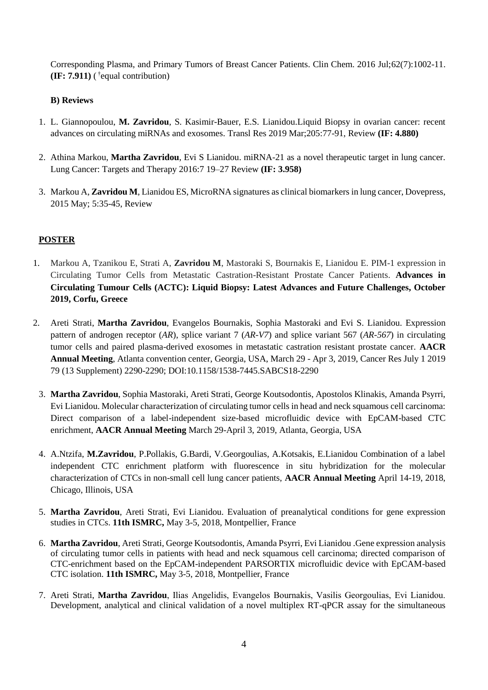Corresponding Plasma, and Primary Tumors of Breast Cancer Patients. Clin Chem. 2016 Jul;62(7):1002-11.  $(\text{IF: } 7.911)$  (<sup>†</sup>equal contribution)

# **B) Reviews**

- 1. L. Giannopoulou, **M. Zavridou**, S. Kasimir-Bauer, E.S. Lianidou.Liquid Biopsy in ovarian cancer: recent advances on circulating miRNAs and exosomes. Transl Res 2019 Mar;205:77-91, Review **(IF: 4.880)**
- 2. Athina Markou, **Martha Zavridou**, Evi S Lianidou. miRNA-21 as a novel therapeutic target in lung cancer. Lung Cancer: Targets and Therapy 2016:7 19–27 Review **(IF: 3.958)**
- 3. Markou A, **Zavridou M**, Lianidou ES, MicroRNA signatures as clinical biomarkers in lung cancer, Dovepress, 2015 Μay; 5:35-45, Review

# **POSTER**

- 1. Markou A, Tzanikou E, Strati A, **Zavridou M**, Mastoraki S, Bournakis E, Lianidou E. PIM-1 expression in Circulating Tumor Cells from Metastatic Castration-Resistant Prostate Cancer Patients. **Advances in Circulating Tumour Cells (ACTC): Liquid Biopsy: Latest Advances and Future Challenges, October 2019, Corfu, Greece**
- 2. Areti Strati, **Martha Zavridou**, Evangelos Bournakis, Sophia Mastoraki and Evi S. Lianidou. Expression pattern of androgen receptor (*AR*), splice variant 7 (*AR-V7*) and splice variant 567 (*AR-567*) in circulating tumor cells and paired plasma-derived exosomes in metastatic castration resistant prostate cancer. **AACR Annual Meeting**, Atlanta convention center, Georgia, USA, March 29 - Apr 3, 2019, Cancer Res July 1 2019 79 (13 Supplement) 2290-2290; DOI:10.1158/1538-7445.SABCS18-2290
	- 3. **Martha Zavridou**, Sophia Mastoraki, Areti Strati, George Koutsodontis, Apostolos Klinakis, Amanda Psyrri, Evi Lianidou. Molecular characterization of circulating tumor cells in head and neck squamous cell carcinoma: Direct comparison of a label-independent size-based microfluidic device with EpCAM-based CTC enrichment, **AACR Annual Meeting** March 29-April 3, 2019, Atlanta, Georgia, USA
	- 4. A.Ntzifa, **M.Zavridou**, P.Pollakis, G.Bardi, V.Georgoulias, A.Kotsakis, E.Lianidou Combination of a label independent CTC enrichment platform with fluorescence in situ hybridization for the molecular characterization of CTCs in non-small cell lung cancer patients, **AACR Annual Meeting** April 14-19, 2018, Chicago, Illinois, USA
	- 5. **Martha Zavridou**, Areti Strati, Evi Lianidou. Evaluation of preanalytical conditions for gene expression studies in CTCs. **11th ISMRC,** May 3-5, 2018, Montpellier, France
	- 6. **Martha Zavridou**, Areti Strati, George Koutsodontis, Amanda Psyrri, Evi Lianidou .Gene expression analysis of circulating tumor cells in patients with head and neck squamous cell carcinoma; directed comparison of CTC-enrichment based on the EpCAM-independent PARSORTIX microfluidic device with EpCAM-based CTC isolation. **11th ISMRC,** May 3-5, 2018, Montpellier, France
	- 7. Areti Strati, **Martha Zavridou**, Ilias Αngelidis, Evangelos Bournakis, Vasilis Georgoulias, Evi Lianidou. Development, analytical and clinical validation of a novel multiplex RT-qPCR assay for the simultaneous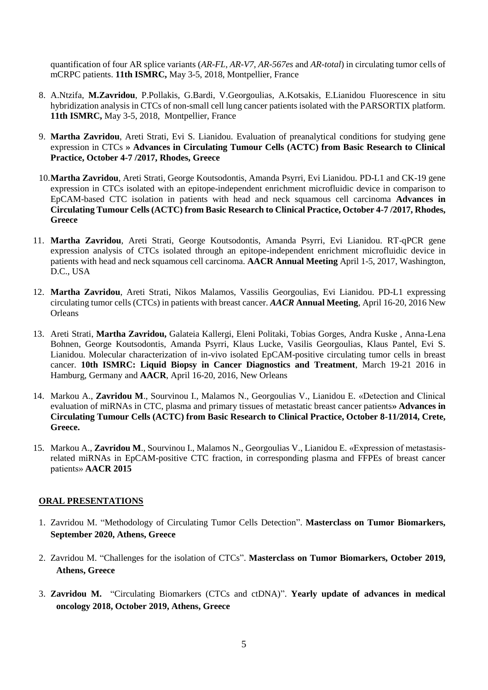quantification of four AR splice variants (*AR-FL, AR-V7, AR-567es* and *AR-total*) in circulating tumor cells of mCRPC patients. **11th ISMRC,** May 3-5, 2018, Montpellier, France

- 8. A.Ntzifa, **M.Zavridou**, P.Pollakis, G.Bardi, V.Georgoulias, A.Kotsakis, E.Lianidou Fluorescence in situ hybridization analysis in CTCs of non-small cell lung cancer patients isolated with the PARSORTIX platform. **11th ISMRC,** May 3-5, 2018, Montpellier, France
- 9. **Martha Zavridou**, Areti Strati, Evi S. Lianidou. Evaluation of preanalytical conditions for studying gene expression in CTCs **» Advances in Circulating Tumour Cells (ACTC) from Basic Research to Clinical Practice, October 4-7 /2017, Rhodes, Greece**
- 10.**Martha Zavridou**, Areti Strati, George Koutsodontis, Amanda Psyrri, Evi Lianidou. PD-L1 and CK-19 gene expression in CTCs isolated with an epitope-independent enrichment microfluidic device in comparison to EpCAM-based CTC isolation in patients with head and neck squamous cell carcinoma **Advances in Circulating Tumour Cells (ACTC) from Basic Research to Clinical Practice, October 4-7 /2017, Rhodes, Greece**
- 11. **Martha Zavridou**, Areti Strati, George Koutsodontis, Amanda Psyrri, Evi Lianidou. RT-qPCR gene expression analysis of CTCs isolated through an epitope-independent enrichment microfluidic device in patients with head and neck squamous cell carcinoma. **AACR Annual Meeting** April 1-5, 2017, Washington, D.C., USA
- 12. **Martha Zavridou**, Areti Strati, Nikos Malamos, Vassilis Georgoulias, Evi Lianidou. PD-L1 expressing circulating tumor cells (CTCs) in patients with breast cancer. *AACR* **Annual Meeting**, April 16-20, 2016 Νew **Orleans**
- 13. Areti Strati, **Martha Zavridou,** Galateia Kallergi, Eleni Politaki, Tobias Gorges, Andra Kuske , Anna-Lena Bohnen, George Koutsodontis, Amanda Psyrri, Klaus Lucke, Vasilis Georgoulias, Klaus Pantel, Evi S. Lianidou. Molecular characterization of in-vivo isolated EpCAM-positive circulating tumor cells in breast cancer. **10th ISMRC: Liquid Biopsy in Cancer Diagnostics and Treatment**, March 19-21 2016 in Hamburg, Germany and **AACR**, April 16-20, 2016, New Orleans
- 14. Markou A., **Zavridou M**., Sourvinou I., Malamos N., Georgoulias V., Lianidou E. «Detection and Clinical evaluation of miRNAs in CTC, plasma and primary tissues of metastatic breast cancer patients**» Advances in Circulating Tumour Cells (ACTC) from Basic Research to Clinical Practice, October 8-11/2014, Crete, Greece.**
- 15. Markou A., **Zavridou M**., Sourvinou I., Malamos N., Georgoulias V., Lianidou E. «Expression of metastasisrelated miRNAs in EpCAM-positive CTC fraction, in corresponding plasma and FFPEs of breast cancer patients» **AACR 2015**

## **ORAL PRESENTATIONS**

- 1. Zavridou Μ. "Methodology of Circulating Tumor Cells Detection". **Masterclass on Tumor Biomarkers, September 2020, Athens, Greece**
- 2. Zavridou Μ. "Challenges for the isolation of CTCs". **Masterclass on Tumor Biomarkers, October 2019, Athens, Greece**
- 3. **Zavridou M.** "Circulating Biomarkers (CTCs and ctDNA)". **Yearly update of advances in medical oncology 2018, October 2019, Athens, Greece**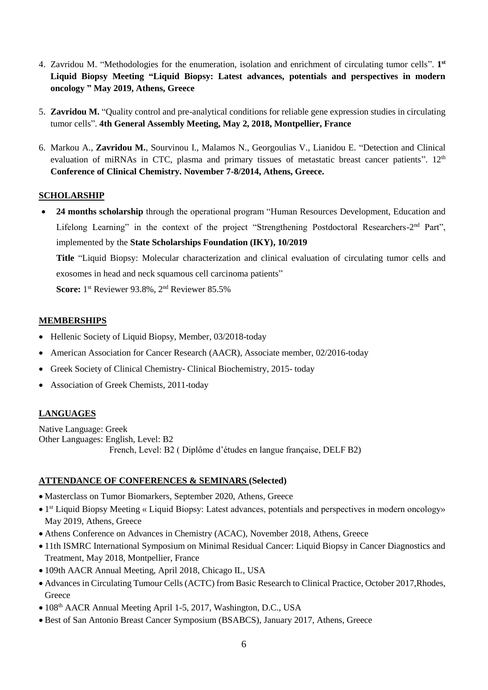- 4. Zavridou Μ. "Methodologies for the enumeration, isolation and enrichment of circulating tumor cells". **1 st Liquid Biopsy Meeting "Liquid Biopsy: Latest advances, potentials and perspectives in modern oncology " May 2019, Athens, Greece**
- 5. **Zavridou M.** "Quality control and pre-analytical conditions for reliable gene expression studies in circulating tumor cells". **4th General Assembly Meeting, May 2, 2018, Montpellier, France**
- 6. Markou A., **Zavridou M.**, Sourvinou I., Malamos N., Georgoulias V., Lianidou E. "Detection and Clinical evaluation of miRNAs in CTC, plasma and primary tissues of metastatic breast cancer patients". 12<sup>th</sup> **Conference of Clinical Chemistry. November 7-8/2014, Athens, Greece.**

# **SCHOLARSHIP**

 **24 months scholarship** through the operational program "Human Resources Development, Education and Lifelong Learning" in the context of the project "Strengthening Postdoctoral Researchers-2<sup>nd</sup> Part", implemented by the **State Scholarships Foundation (IKY), 10/2019 Title** "Liquid Biopsy: Molecular characterization and clinical evaluation of circulating tumor cells and exosomes in head and neck squamous cell carcinoma patients"

Score: 1<sup>st</sup> Reviewer 93.8%, 2<sup>nd</sup> Reviewer 85.5%

## **MEMBERSHIPS**

- Hellenic Society of Liquid Biopsy, Member, 03/2018-today
- American Association for Cancer Research (AACR), Associate member, 02/2016-today
- Greek Society of Clinical Chemistry- Clinical Biochemistry, 2015-today
- Association of Greek Chemists, 2011-today

# **LANGUAGES**

Native Language: Greek Other Languages: English, Level: B2 French, Level: B2 ( Diplôme d'études en langue française, DELF B2)

## **ATTENDANCE OF CONFERENCES & SEMINARS (Selected)**

- Masterclass on Tumor Biomarkers, September 2020, Athens, Greece
- 1<sup>st</sup> Liquid Biopsy Meeting « Liquid Biopsy: Latest advances, potentials and perspectives in modern oncology» May 2019, Athens, Greece
- Athens Conference on Advances in Chemistry (ACAC), November 2018, Athens, Greece
- 11th ISMRC International Symposium on Minimal Residual Cancer: Liquid Biopsy in Cancer Diagnostics and Treatment, May 2018, Montpellier, France
- 109th AACR Annual Meeting, April 2018, Chicago IL, USA
- Advances in Circulating Tumour Cells (ACTC) from Basic Research to Clinical Practice, October 2017,Rhodes, **Greece**
- 108<sup>th</sup> AACR Annual Meeting April 1-5, 2017, Washington, D.C., USA
- Best of San Antonio Breast Cancer Symposium (BSABCS), January 2017, Athens, Greece